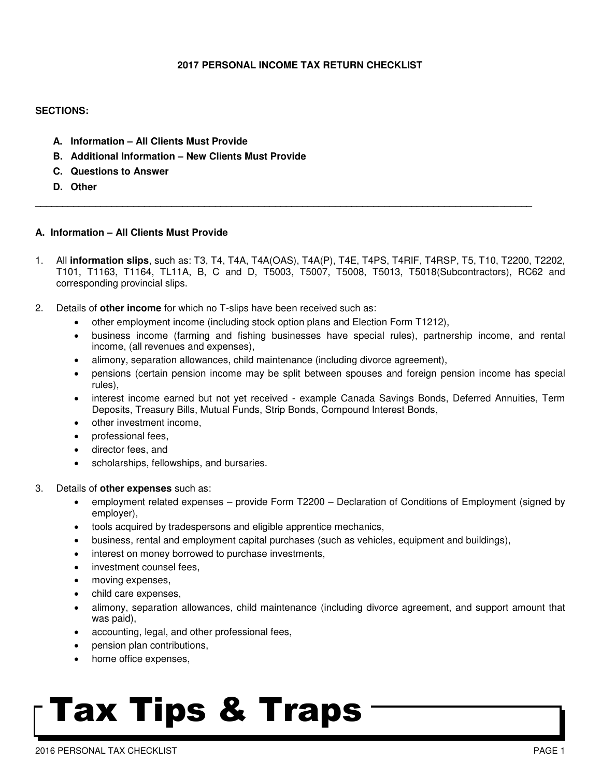### **2017 PERSONAL INCOME TAX RETURN CHECKLIST**

### **SECTIONS:**

- **A. Information – All Clients Must Provide**
- **B. Additional Information – New Clients Must Provide**
- **C. Questions to Answer**
- **D. Other**

### **A. Information – All Clients Must Provide**

1. All **information slips**, such as: T3, T4, T4A, T4A(OAS), T4A(P), T4E, T4PS, T4RIF, T4RSP, T5, T10, T2200, T2202, T101, T1163, T1164, TL11A, B, C and D, T5003, T5007, T5008, T5013, T5018(Subcontractors), RC62 and corresponding provincial slips.

**\_\_\_\_\_\_\_\_\_\_\_\_\_\_\_\_\_\_\_\_\_\_\_\_\_\_\_\_\_\_\_\_\_\_\_\_\_\_\_\_\_\_\_\_\_\_\_\_\_\_\_\_\_\_\_\_\_\_\_\_\_\_\_\_\_\_\_\_\_\_\_\_\_\_\_\_\_\_\_\_\_\_\_\_\_\_\_\_\_\_\_** 

- 2. Details of **other income** for which no T-slips have been received such as:
	- other employment income (including stock option plans and Election Form T1212),
	- business income (farming and fishing businesses have special rules), partnership income, and rental income, (all revenues and expenses),
	- alimony, separation allowances, child maintenance (including divorce agreement),
	- pensions (certain pension income may be split between spouses and foreign pension income has special rules),
	- interest income earned but not yet received example Canada Savings Bonds, Deferred Annuities, Term Deposits, Treasury Bills, Mutual Funds, Strip Bonds, Compound Interest Bonds,
	- other investment income.
	- professional fees,
	- director fees, and
	- scholarships, fellowships, and bursaries.
- 3. Details of **other expenses** such as:
	- employment related expenses provide Form T2200 Declaration of Conditions of Employment (signed by employer),
	- tools acquired by tradespersons and eligible apprentice mechanics,
	- business, rental and employment capital purchases (such as vehicles, equipment and buildings),
	- interest on money borrowed to purchase investments,
	- investment counsel fees,
	- moving expenses,
	- child care expenses,
	- alimony, separation allowances, child maintenance (including divorce agreement, and support amount that was paid),
	- accounting, legal, and other professional fees,
	- pension plan contributions,
	- home office expenses,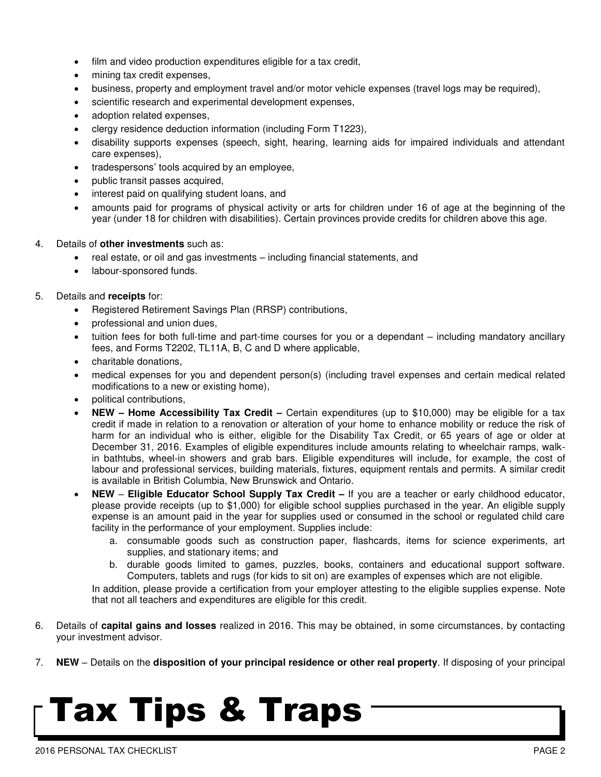- film and video production expenditures eligible for a tax credit,
- mining tax credit expenses,
- business, property and employment travel and/or motor vehicle expenses (travel logs may be required),
- scientific research and experimental development expenses,
- adoption related expenses,
- clergy residence deduction information (including Form T1223),
- disability supports expenses (speech, sight, hearing, learning aids for impaired individuals and attendant care expenses),
- tradespersons' tools acquired by an employee,
- public transit passes acquired,
- interest paid on qualifying student loans, and
- amounts paid for programs of physical activity or arts for children under 16 of age at the beginning of the year (under 18 for children with disabilities). Certain provinces provide credits for children above this age.
- 4. Details of **other investments** such as:
	- real estate, or oil and gas investments including financial statements, and
	- labour-sponsored funds.

### 5. Details and **receipts** for:

- Registered Retirement Savings Plan (RRSP) contributions,
- professional and union dues,
- tuition fees for both full-time and part-time courses for you or a dependant including mandatory ancillary fees, and Forms T2202, TL11A, B, C and D where applicable,
- charitable donations,
- medical expenses for you and dependent person(s) (including travel expenses and certain medical related modifications to a new or existing home),
- political contributions,
- **NEW – Home Accessibility Tax Credit –** Certain expenditures (up to \$10,000) may be eligible for a tax credit if made in relation to a renovation or alteration of your home to enhance mobility or reduce the risk of harm for an individual who is either, eligible for the Disability Tax Credit, or 65 years of age or older at December 31, 2016. Examples of eligible expenditures include amounts relating to wheelchair ramps, walkin bathtubs, wheel-in showers and grab bars. Eligible expenditures will include, for example, the cost of labour and professional services, building materials, fixtures, equipment rentals and permits. A similar credit is available in British Columbia, New Brunswick and Ontario.
- **NEW Eligible Educator School Supply Tax Credit –** If you are a teacher or early childhood educator, please provide receipts (up to \$1,000) for eligible school supplies purchased in the year. An eligible supply expense is an amount paid in the year for supplies used or consumed in the school or regulated child care facility in the performance of your employment. Supplies include:
	- a. consumable goods such as construction paper, flashcards, items for science experiments, art supplies, and stationary items; and
	- b. durable goods limited to games, puzzles, books, containers and educational support software. Computers, tablets and rugs (for kids to sit on) are examples of expenses which are not eligible.

In addition, please provide a certification from your employer attesting to the eligible supplies expense. Note that not all teachers and expenditures are eligible for this credit.

- 6. Details of **capital gains and losses** realized in 2016. This may be obtained, in some circumstances, by contacting your investment advisor.
- 7. **NEW** Details on the **disposition of your principal residence or other real property**. If disposing of your principal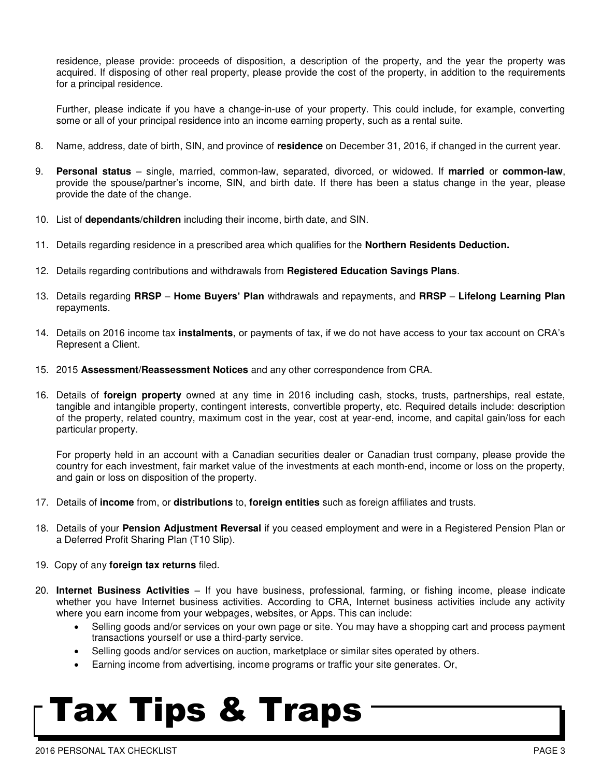residence, please provide: proceeds of disposition, a description of the property, and the year the property was acquired. If disposing of other real property, please provide the cost of the property, in addition to the requirements for a principal residence.

Further, please indicate if you have a change-in-use of your property. This could include, for example, converting some or all of your principal residence into an income earning property, such as a rental suite.

- 8. Name, address, date of birth, SIN, and province of **residence** on December 31, 2016, if changed in the current year.
- 9. **Personal status**  single, married, common-law, separated, divorced, or widowed. If **married** or **common-law**, provide the spouse/partner's income, SIN, and birth date. If there has been a status change in the year, please provide the date of the change.
- 10. List of **dependants/children** including their income, birth date, and SIN.
- 11. Details regarding residence in a prescribed area which qualifies for the **Northern Residents Deduction.**
- 12. Details regarding contributions and withdrawals from **Registered Education Savings Plans**.
- 13. Details regarding **RRSP Home Buyers' Plan** withdrawals and repayments, and **RRSP** – **Lifelong Learning Plan** repayments.
- 14. Details on 2016 income tax **instalments**, or payments of tax, if we do not have access to your tax account on CRA's Represent a Client.
- 15. 2015 **Assessment/Reassessment Notices** and any other correspondence from CRA.
- 16. Details of **foreign property** owned at any time in 2016 including cash, stocks, trusts, partnerships, real estate, tangible and intangible property, contingent interests, convertible property, etc. Required details include: description of the property, related country, maximum cost in the year, cost at year-end, income, and capital gain/loss for each particular property.

For property held in an account with a Canadian securities dealer or Canadian trust company, please provide the country for each investment, fair market value of the investments at each month-end, income or loss on the property, and gain or loss on disposition of the property.

- 17. Details of **income** from, or **distributions** to, **foreign entities** such as foreign affiliates and trusts.
- 18. Details of your **Pension Adjustment Reversal** if you ceased employment and were in a Registered Pension Plan or a Deferred Profit Sharing Plan (T10 Slip).
- 19. Copy of any **foreign tax returns** filed.
- 20. **Internet Business Activities** If you have business, professional, farming, or fishing income, please indicate whether you have Internet business activities. According to CRA, Internet business activities include any activity where you earn income from your webpages, websites, or Apps. This can include:
	- Selling goods and/or services on your own page or site. You may have a shopping cart and process payment transactions yourself or use a third-party service.
	- Selling goods and/or services on auction, marketplace or similar sites operated by others.
	- Earning income from advertising, income programs or traffic your site generates. Or,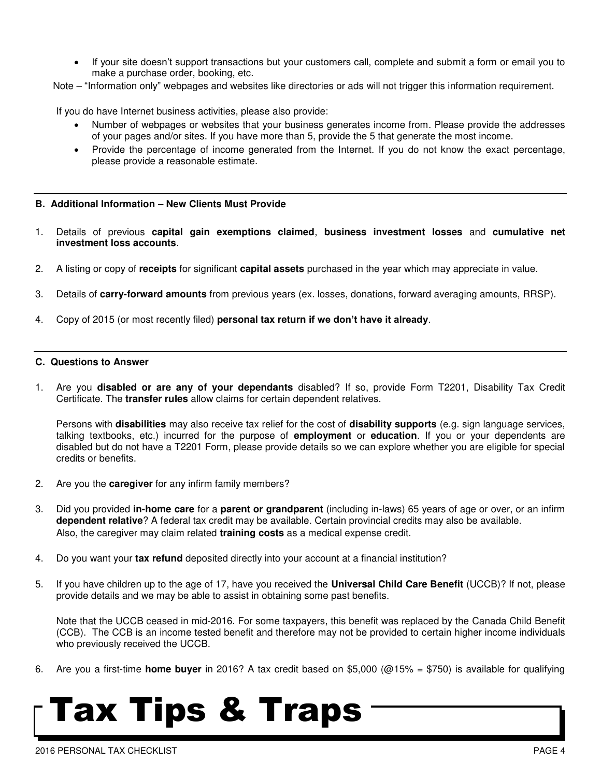- If your site doesn't support transactions but your customers call, complete and submit a form or email you to make a purchase order, booking, etc.
- Note "Information only" webpages and websites like directories or ads will not trigger this information requirement.

If you do have Internet business activities, please also provide:

- Number of webpages or websites that your business generates income from. Please provide the addresses of your pages and/or sites. If you have more than 5, provide the 5 that generate the most income.
- Provide the percentage of income generated from the Internet. If you do not know the exact percentage, please provide a reasonable estimate.

### **B. Additional Information – New Clients Must Provide**

- 1. Details of previous **capital gain exemptions claimed**, **business investment losses** and **cumulative net investment loss accounts**.
- 2. A listing or copy of **receipts** for significant **capital assets** purchased in the year which may appreciate in value.
- 3. Details of **carry-forward amounts** from previous years (ex. losses, donations, forward averaging amounts, RRSP).
- 4. Copy of 2015 (or most recently filed) **personal tax return if we don't have it already**.

### **C. Questions to Answer**

1. Are you **disabled or are any of your dependants** disabled? If so, provide Form T2201, Disability Tax Credit Certificate. The **transfer rules** allow claims for certain dependent relatives.

 Persons with **disabilities** may also receive tax relief for the cost of **disability supports** (e.g. sign language services, talking textbooks, etc.) incurred for the purpose of **employment** or **education**. If you or your dependents are disabled but do not have a T2201 Form, please provide details so we can explore whether you are eligible for special credits or benefits.

- 2. Are you the **caregiver** for any infirm family members?
- 3. Did you provided **in-home care** for a **parent or grandparent** (including in-laws) 65 years of age or over, or an infirm **dependent relative**? A federal tax credit may be available. Certain provincial credits may also be available. Also, the caregiver may claim related **training costs** as a medical expense credit.
- 4. Do you want your **tax refund** deposited directly into your account at a financial institution?
- 5. If you have children up to the age of 17, have you received the **Universal Child Care Benefit** (UCCB)? If not, please provide details and we may be able to assist in obtaining some past benefits.

Note that the UCCB ceased in mid-2016. For some taxpayers, this benefit was replaced by the Canada Child Benefit (CCB). The CCB is an income tested benefit and therefore may not be provided to certain higher income individuals who previously received the UCCB.

6. Are you a first-time **home buyer** in 2016? A tax credit based on \$5,000 (@15% = \$750) is available for qualifying